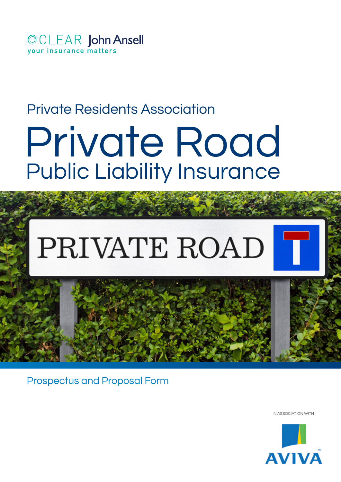

# Private Residents Association

# Public Liability Insurance Private Road

# PRIVATE ROAD

Prospectus and Proposal Form

IN ASSOCIATION WITH

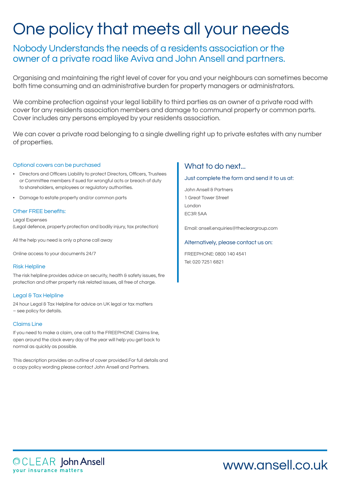# One policy that meets all your needs

# Nobody Understands the needs of a residents association or the owner of a private road like Aviva and John Ansell and partners.

Organising and maintaining the right level of cover for you and your neighbours can sometimes become both time consuming and an administrative burden for property managers or administrators.

We combine protection against your legal liability to third parties as an owner of a private road with cover for any residents association members and damage to communal property or common parts. Cover includes any persons employed by your residents association.

We can cover a private road belonging to a single dwelling right up to private estates with any number of properties.

## Optional covers can be purchased

- • Directors and Officers Liability to protect Directors, Officers, Trustees or Committee members if sued for wrongful acts or breach of duty to shareholders, employees or regulatory authorities.
- Damage to estate property and/or common parts

### Other FREE benefits:

Legal Expenses (Legal defence, property protection and bodily injury, tax protection)

All the help you need is only a phone call away

Online access to your documents 24/7

#### Risk Helpline

The risk helpline provides advice on security, health & safety issues, fire protection and other property risk related issues, all free of charge.

## Legal & Tax Helpline

24 hour Legal & Tax Helpline for advice on UK legal or tax matters – see policy for details.

## Claims Line

If you need to make a claim, one call to the FREEPHONE Claims line, open around the clock every day of the year will help you get back to normal as quickly as possible.

This description provides an outline of cover provided.For full details and a copy policy wording please contact John Ansell and Partners.

# What to do next...

Just complete the form and send it to us at:

John Ansell & Partners 1 Great Tower Street London EC3R 5AA

Email: ansell.enquiries@thecleargroup.com

## Alternatively, please contact us on:

FREEPHONE: 0800 140 4541 Tel: 020 7251 6821

OCLEAR John Ansell your insurance matters

# www.ansell.co.uk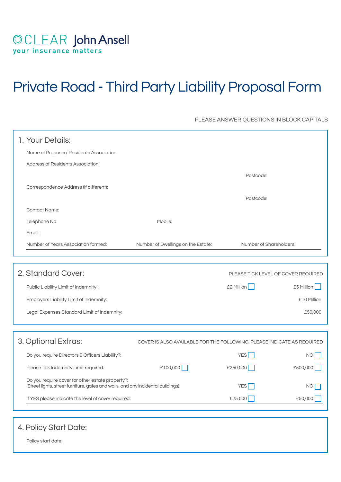# OCLEAR John Ansell<br>your insurance matters

# Private Road - Third Party Liability Proposal Form

PLEASE ANSWER QUESTIONS IN BLOCK CAPITALS

| 1. Your Details:                                                                                                                     |                                                                        |                         |             |  |
|--------------------------------------------------------------------------------------------------------------------------------------|------------------------------------------------------------------------|-------------------------|-------------|--|
| Name of Proposer/ Residents Association:                                                                                             |                                                                        |                         |             |  |
| <b>Address of Residents Association:</b>                                                                                             |                                                                        |                         |             |  |
|                                                                                                                                      |                                                                        | Postcode:               |             |  |
| Correspondence Address (if different):                                                                                               |                                                                        |                         |             |  |
|                                                                                                                                      |                                                                        | Postcode:               |             |  |
| <b>Contact Name:</b>                                                                                                                 |                                                                        |                         |             |  |
| Telephone No                                                                                                                         | Mobile:                                                                |                         |             |  |
| Email:                                                                                                                               |                                                                        |                         |             |  |
| Number of Years Association formed:                                                                                                  | Number of Dwellings on the Estate:                                     | Number of Shareholders: |             |  |
|                                                                                                                                      |                                                                        |                         |             |  |
| 2. Standard Cover:<br>PLEASE TICK LEVEL OF COVER REQUIRED                                                                            |                                                                        |                         |             |  |
| Public Liability Limit of Indemnity:                                                                                                 |                                                                        | £2 Million              | £5 Million  |  |
| Employers Liability Limit of Indemnity:                                                                                              |                                                                        |                         | £10 Million |  |
| Legal Expenses Standard Limit of Indemnity:                                                                                          |                                                                        |                         | £50,000     |  |
|                                                                                                                                      |                                                                        |                         |             |  |
| 3. Optional Extras:                                                                                                                  | COVER IS ALSO AVAILABLE FOR THE FOLLOWING. PLEASE INDICATE AS REQUIRED |                         |             |  |
| Do you require Directors & Officers Liability?:                                                                                      |                                                                        | <b>YES</b>              | <b>NO</b>   |  |
| Please tick Indemnity Limit required:                                                                                                | £100,000 $\Box$                                                        | £250,000                | £500,000    |  |
| Do you require cover for other estate property?:<br>(Street lights, street furniture, gates and walls, and any incidental buildings) |                                                                        | <b>YES</b>              | <b>NO</b>   |  |
| If YES please indicate the level of cover required:                                                                                  |                                                                        | £25,000                 | £50,000     |  |

# 4. Policy Start Date:

Policy start date: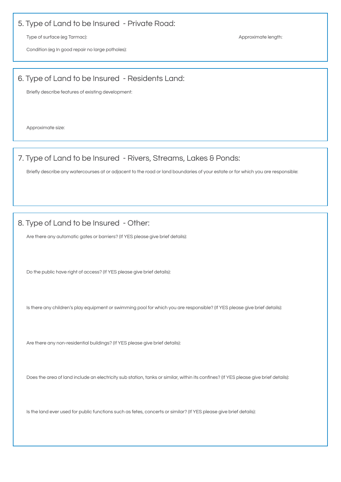# 5. Type of Land to be Insured - Private Road:

Type of surface (eg Tarmac): Approximate length: Approximate length:

Condition (eg In good repair no large potholes):

# 6. Type of Land to be Insured - Residents Land:

Briefly describe features of existing development:

Approximate size:

# 7. Type of Land to be Insured - Rivers, Streams, Lakes & Ponds:

Briefly describe any watercourses at or adjacent to the road or land boundaries of your estate or for which you are responsible:

# 8. Type of Land to be Insured - Other:

Are there any automatic gates or barriers? (If YES please give brief details): 

Do the public have right of access? (If YES please give brief details): 

Is there any children's play equipment or swimming pool for which you are responsible? (If YES please give brief details): 

Are there any non-residential buildings? (If YES please give brief details): 

Does the area of land include an electricity sub station, tanks or similar, within its confines? (If YES please give brief details): 

Is the land ever used for public functions such as fetes, concerts or similar? (If YES please give brief details):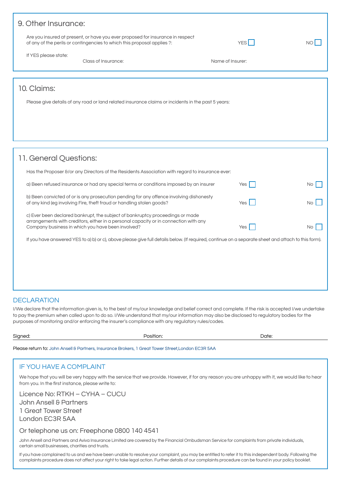| 9. Other Insurance:                                                                                |                                                                                                                                                           |                  |  |  |
|----------------------------------------------------------------------------------------------------|-----------------------------------------------------------------------------------------------------------------------------------------------------------|------------------|--|--|
|                                                                                                    | Are you insured at present, or have you ever proposed for insurance in respect<br>of any of the perils or contingencies to which this proposal applies ?: | YES <sup> </sup> |  |  |
| If YES please state:                                                                               | Class of Insurance:                                                                                                                                       | Name of Insurer: |  |  |
|                                                                                                    |                                                                                                                                                           |                  |  |  |
| 10. Claims:                                                                                        |                                                                                                                                                           |                  |  |  |
| Please give details of any road or land related insurance claims or incidents in the past 5 years: |                                                                                                                                                           |                  |  |  |
|                                                                                                    |                                                                                                                                                           |                  |  |  |
|                                                                                                    |                                                                                                                                                           |                  |  |  |

# 11. General Questions:

| If you have answered YES to a) b) or c), above please give full details below. (If required, continue on a separate sheet and attach to this form). |  |  |  |  |
|-----------------------------------------------------------------------------------------------------------------------------------------------------|--|--|--|--|
|                                                                                                                                                     |  |  |  |  |
|                                                                                                                                                     |  |  |  |  |

# **DECLARATION**

I/We declare that the information given is, to the best of my/our knowledge and belief correct and complete. If the risk is accepted I/we undertake to pay the premium when called upon to do so. I/We understand that my/our information may also be disclosed to regulatory bodies for the purposes of monitoring and/or enforcing the insurer's compliance with any regulatory rules/codes.

| Signed: | Position:                                                                                          | Date: |
|---------|----------------------------------------------------------------------------------------------------|-------|
|         | Please return to: John Ansell & Partners, Insurance Brokers, 1 Great Tower Street, London EC3R 5AA |       |

## IF YOU HAVE A COMPLAINT

We hope that you will be very happy with the service that we provide. However, if for any reason you are unhappy with it, we would like to hear from you. In the first instance, please write to:

Licence No: RTKH – CYHA – CUCU John Ansell & Partners 1 Great Tower Street London EC3R 5AA

Or telephone us on: Freephone 0800 140 4541

John Ansell and Partners and Aviva Insurance Limited are covered by the Financial Ombudsman Service for complaints from private individuals, certain small businesses, charities and trusts.

If you have complained to us and we have been unable to resolve your complaint, you may be entitled to refer it to this independent body. Following the complaints procedure does not affect your right to take legal action. Further details of our complaints procedure can be found in your policy booklet.